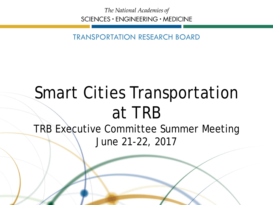The National Academies of SCIENCES · ENGINEERING · MEDICINE

TRANSPORTATION RESEARCH BOARD

# Smart Cities Transportation at TRB

TRB Executive Committee Summer Meeting June 21-22, 2017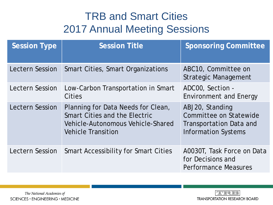#### TRB and Smart Cities 2017 Annual Meeting Sessions

| <b>Session Type</b>    | <b>Session Title</b>                                                                                                                  | <b>Sponsoring Committee</b>                                                                        |
|------------------------|---------------------------------------------------------------------------------------------------------------------------------------|----------------------------------------------------------------------------------------------------|
| <b>Lectern Session</b> | <b>Smart Cities, Smart Organizations</b>                                                                                              | ABC10, Committee on<br><b>Strategic Management</b>                                                 |
| <b>Lectern Session</b> | Low-Carbon Transportation in Smart<br><b>Cities</b>                                                                                   | ADCOO, Section -<br><b>Environment and Energy</b>                                                  |
| <b>Lectern Session</b> | Planning for Data Needs for Clean,<br>Smart Cities and the Electric<br>Vehicle-Autonomous Vehicle-Shared<br><b>Vehicle Transition</b> | ABJ20, Standing<br>Committee on Statewide<br>Transportation Data and<br><b>Information Systems</b> |
| <b>Lectern Session</b> | <b>Smart Accessibility for Smart Cities</b>                                                                                           | A0030T, Task Force on Data<br>for Decisions and<br><b>Performance Measures</b>                     |

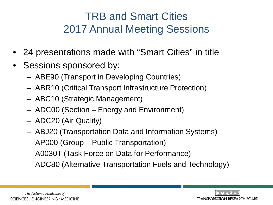#### TRB and Smart Cities 2017 Annual Meeting Sessions

- 24 presentations made with "Smart Cities" in title
- Sessions sponsored by:
	- ABE90 (Transport in Developing Countries)
	- ABR10 (Critical Transport Infrastructure Protection)
	- ABC10 (Strategic Management)
	- ADC00 (Section Energy and Environment)
	- ADC20 (Air Quality)
	- ABJ20 (Transportation Data and Information Systems)
	- AP000 (Group Public Transportation)
	- A0030T (Task Force on Data for Performance)
	- ADC80 (Alternative Transportation Fuels and Technology)

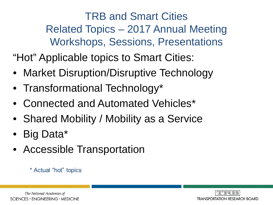TRB and Smart Cities Related Topics – 2017 Annual Meeting Workshops, Sessions, Presentations

"Hot" Applicable topics to Smart Cities:

- Market Disruption/Disruptive Technology
- Transformational Technology\*
- Connected and Automated Vehicles\*
- Shared Mobility / Mobility as a Service
- Big Data\*
- Accessible Transportation

#### \* Actual "hot" topics

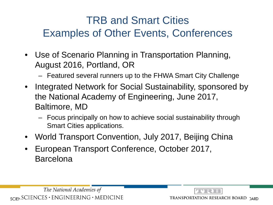### TRB and Smart Cities Examples of Other Events, Conferences

- Use of Scenario Planning in Transportation Planning, August 2016, Portland, OR
	- Featured several runners up to the FHWA Smart City Challenge
- Integrated Network for Social Sustainability, sponsored by the National Academy of Engineering, June 2017, Baltimore, MD
	- Focus principally on how to achieve social sustainability through Smart Cities applications.
- World Transport Convention, July 2017, Beijing China
- European Transport Conference, October 2017, Barcelona

The National Academies of  $_{\text{SCIEN}}$ SCIENCES · ENGINEERING · MEDICINE

TRANSPORTATION RESEARCH BOARD JARD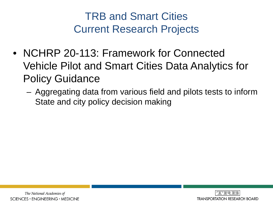TRB and Smart Cities Current Research Projects

- NCHRP 20-113: Framework for Connected Vehicle Pilot and Smart Cities Data Analytics for Policy Guidance
	- Aggregating data from various field and pilots tests to inform State and city policy decision making

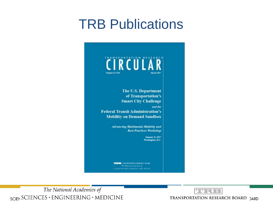## **TRB Publications**



CONCO HOSEMA HODGEN RESEARCH DOARD SCIENCES (ENGINEERING) AND JUDICIAL

The National Academies of SCIENCES · ENGINEERING · MEDICINE

TRANSPORTATION RESEARCH BOARD ) ARD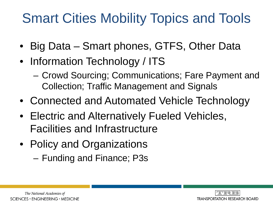# Smart Cities Mobility Topics and Tools

- Big Data Smart phones, GTFS, Other Data
- Information Technology / ITS
	- Crowd Sourcing; Communications; Fare Payment and Collection; Traffic Management and Signals
- Connected and Automated Vehicle Technology
- Electric and Alternatively Fueled Vehicles, Facilities and Infrastructure
- Policy and Organizations
	- Funding and Finance; P3s

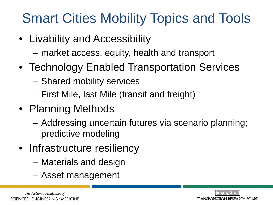# Smart Cities Mobility Topics and Tools

- Livability and Accessibility
	- market access, equity, health and transport
- Technology Enabled Transportation Services
	- Shared mobility services
	- First Mile, last Mile (transit and freight)
- Planning Methods
	- Addressing uncertain futures via scenario planning; predictive modeling
- Infrastructure resiliency
	- Materials and design
	- Asset management